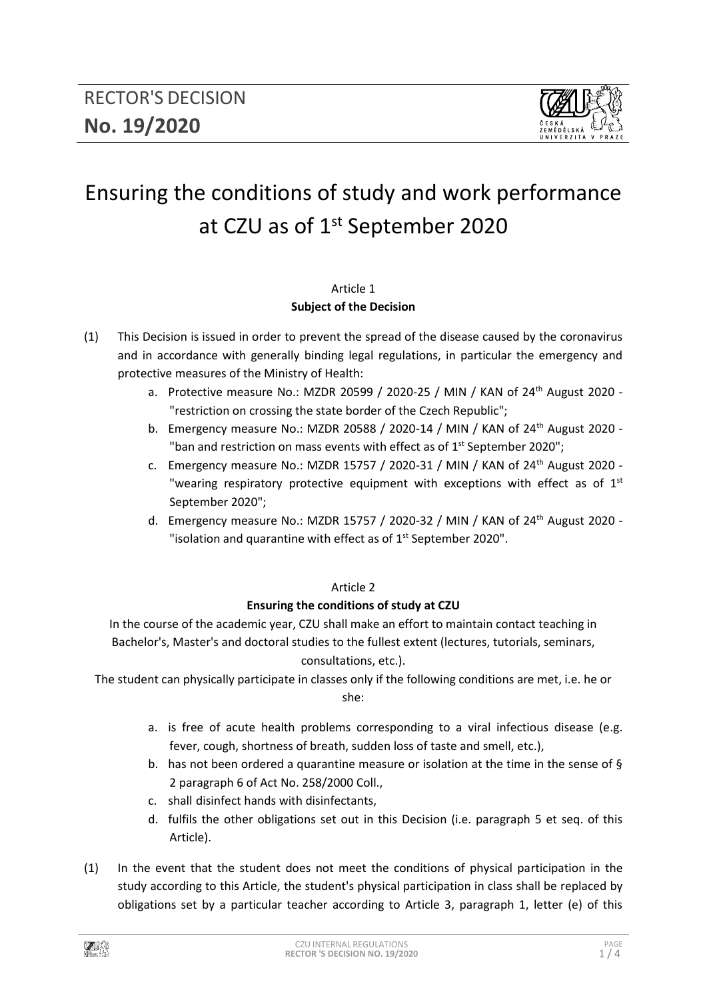

# Ensuring the conditions of study and work performance at CZU as of 1<sup>st</sup> September 2020

## Article 1 **Subject of the Decision**

- (1) This Decision is issued in order to prevent the spread of the disease caused by the coronavirus and in accordance with generally binding legal regulations, in particular the emergency and protective measures of the Ministry of Health:
	- a. Protective measure No.: MZDR 20599 / 2020-25 / MIN / KAN of 24th August 2020 "restriction on crossing the state border of the Czech Republic";
	- b. Emergency measure No.: MZDR 20588 / 2020-14 / MIN / KAN of 24<sup>th</sup> August 2020 -"ban and restriction on mass events with effect as of  $1<sup>st</sup>$  September 2020";
	- c. Emergency measure No.: MZDR 15757 / 2020-31 / MIN / KAN of  $24<sup>th</sup>$  August 2020 -"wearing respiratory protective equipment with exceptions with effect as of  $1<sup>st</sup>$ September 2020";
	- d. Emergency measure No.: MZDR 15757 / 2020-32 / MIN / KAN of 24th August 2020 "isolation and quarantine with effect as of  $1<sup>st</sup>$  September 2020".

# Article 2

# **Ensuring the conditions of study at CZU**

In the course of the academic year, CZU shall make an effort to maintain contact teaching in Bachelor's, Master's and doctoral studies to the fullest extent (lectures, tutorials, seminars, consultations, etc.).

The student can physically participate in classes only if the following conditions are met, i.e. he or she:

- a. is free of acute health problems corresponding to a viral infectious disease (e.g. fever, cough, shortness of breath, sudden loss of taste and smell, etc.),
- b. has not been ordered a quarantine measure or isolation at the time in the sense of  $\S$ 2 paragraph 6 of Act No. 258/2000 Coll.,
- c. shall disinfect hands with disinfectants,
- d. fulfils the other obligations set out in this Decision (i.e. paragraph 5 et seq. of this Article).
- (1) In the event that the student does not meet the conditions of physical participation in the study according to this Article, the student's physical participation in class shall be replaced by obligations set by a particular teacher according to Article 3, paragraph 1, letter (e) of this

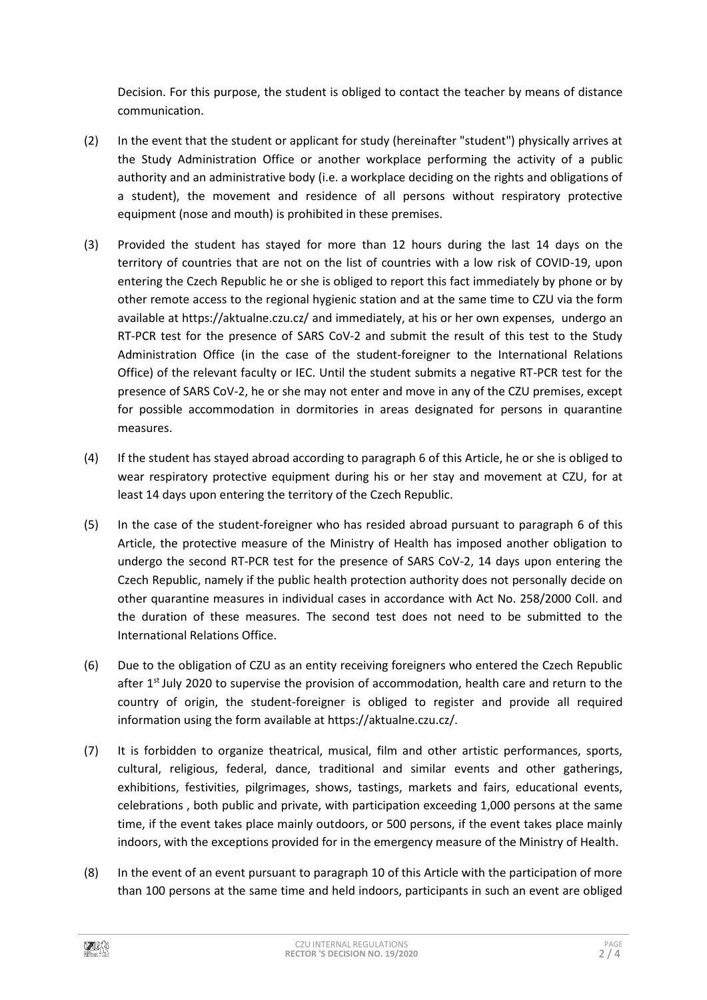Decision. For this purpose, the student is obliged to contact the teacher by means of distance communication.

- (2) In the event that the student or applicant for study (hereinafter "student") physically arrives at the Study Administration Office or another workplace performing the activity of a public authority and an administrative body (i.e. a workplace deciding on the rights and obligations of a student), the movement and residence of all persons without respiratory protective equipment (nose and mouth) is prohibited in these premises.
- (3) Provided the student has stayed for more than 12 hours during the last 14 days on the territory of countries that are not on the list of countries with a low risk of COVID-19, upon entering the Czech Republic he or she is obliged to report this fact immediately by phone or by other remote access to the regional hygienic station and at the same time to CZU via the form available at https://aktualne.czu.cz/ and immediately, at his or her own expenses, undergo an RT-PCR test for the presence of SARS CoV-2 and submit the result of this test to the Study Administration Office (in the case of the student-foreigner to the International Relations Office) of the relevant faculty or IEC. Until the student submits a negative RT-PCR test for the presence of SARS CoV-2, he or she may not enter and move in any of the CZU premises, except for possible accommodation in dormitories in areas designated for persons in quarantine measures.
- (4) If the student has stayed abroad according to paragraph 6 of this Article, he or she is obliged to wear respiratory protective equipment during his or her stay and movement at CZU, for at least 14 days upon entering the territory of the Czech Republic.
- (5) In the case of the student-foreigner who has resided abroad pursuant to paragraph 6 of this Article, the protective measure of the Ministry of Health has imposed another obligation to undergo the second RT-PCR test for the presence of SARS CoV-2, 14 days upon entering the Czech Republic, namely if the public health protection authority does not personally decide on other quarantine measures in individual cases in accordance with Act No. 258/2000 Coll. and the duration of these measures. The second test does not need to be submitted to the International Relations Office.
- (6) Due to the obligation of CZU as an entity receiving foreigners who entered the Czech Republic after 1<sup>st</sup> July 2020 to supervise the provision of accommodation, health care and return to the country of origin, the student-foreigner is obliged to register and provide all required information using the form available at https://aktualne.czu.cz/.
- (7) It is forbidden to organize theatrical, musical, film and other artistic performances, sports, cultural, religious, federal, dance, traditional and similar events and other gatherings, exhibitions, festivities, pilgrimages, shows, tastings, markets and fairs, educational events, celebrations , both public and private, with participation exceeding 1,000 persons at the same time, if the event takes place mainly outdoors, or 500 persons, if the event takes place mainly indoors, with the exceptions provided for in the emergency measure of the Ministry of Health.
- (8) In the event of an event pursuant to paragraph 10 of this Article with the participation of more than 100 persons at the same time and held indoors, participants in such an event are obliged

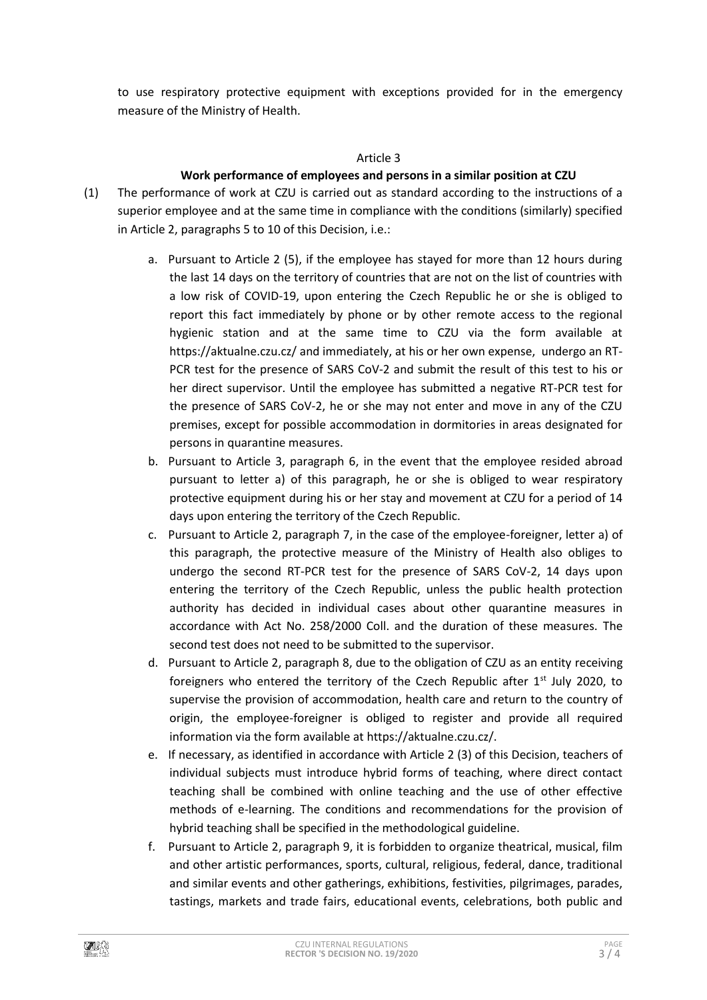to use respiratory protective equipment with exceptions provided for in the emergency measure of the Ministry of Health.

#### Article 3

### **Work performance of employees and persons in a similar position at CZU**

- (1) The performance of work at CZU is carried out as standard according to the instructions of a superior employee and at the same time in compliance with the conditions (similarly) specified in Article 2, paragraphs 5 to 10 of this Decision, i.e.:
	- a. Pursuant to Article 2 (5), if the employee has stayed for more than 12 hours during the last 14 days on the territory of countries that are not on the list of countries with a low risk of COVID-19, upon entering the Czech Republic he or she is obliged to report this fact immediately by phone or by other remote access to the regional hygienic station and at the same time to CZU via the form available at https://aktualne.czu.cz/ and immediately, at his or her own expense, undergo an RT-PCR test for the presence of SARS CoV-2 and submit the result of this test to his or her direct supervisor. Until the employee has submitted a negative RT-PCR test for the presence of SARS CoV-2, he or she may not enter and move in any of the CZU premises, except for possible accommodation in dormitories in areas designated for persons in quarantine measures.
	- b. Pursuant to Article 3, paragraph 6, in the event that the employee resided abroad pursuant to letter a) of this paragraph, he or she is obliged to wear respiratory protective equipment during his or her stay and movement at CZU for a period of 14 days upon entering the territory of the Czech Republic.
	- c. Pursuant to Article 2, paragraph 7, in the case of the employee-foreigner, letter a) of this paragraph, the protective measure of the Ministry of Health also obliges to undergo the second RT-PCR test for the presence of SARS CoV-2, 14 days upon entering the territory of the Czech Republic, unless the public health protection authority has decided in individual cases about other quarantine measures in accordance with Act No. 258/2000 Coll. and the duration of these measures. The second test does not need to be submitted to the supervisor.
	- d. Pursuant to Article 2, paragraph 8, due to the obligation of CZU as an entity receiving foreigners who entered the territory of the Czech Republic after 1<sup>st</sup> July 2020, to supervise the provision of accommodation, health care and return to the country of origin, the employee-foreigner is obliged to register and provide all required information via the form available at https://aktualne.czu.cz/.
	- e. If necessary, as identified in accordance with Article 2 (3) of this Decision, teachers of individual subjects must introduce hybrid forms of teaching, where direct contact teaching shall be combined with online teaching and the use of other effective methods of e-learning. The conditions and recommendations for the provision of hybrid teaching shall be specified in the methodological guideline.
	- f. Pursuant to Article 2, paragraph 9, it is forbidden to organize theatrical, musical, film and other artistic performances, sports, cultural, religious, federal, dance, traditional and similar events and other gatherings, exhibitions, festivities, pilgrimages, parades, tastings, markets and trade fairs, educational events, celebrations, both public and